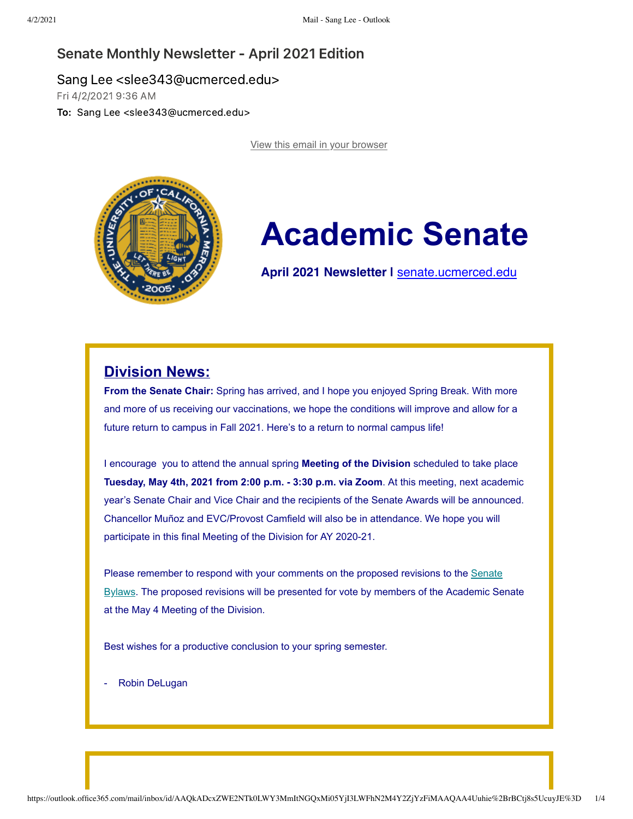

# **Academic Senate**

**April 2021 Newsletter |** [senate.ucmerced.edu](https://ucmerced.us18.list-manage.com/track/click?u=7a4be5fc797127c29f7d3935b&id=44ec74a343&e=c9b970b0f8)

## **Division News:**

**From the Senate Chair:** Spring has arrived, and I hope you enjoyed Spring Break. With more and more of us receiving our vaccinations, we hope the conditions will improve and allow for a future return to campus in Fall 2021. Here's to a return to normal campus life!

I encourage you to attend the annual spring **Meeting of the Division** scheduled to take place **Tuesday, May 4th, 2021 from 2:00 p.m. - 3:30 p.m. via Zoom**. At this meeting, next academic year's Senate Chair and Vice Chair and the recipients of the Senate Awards will be announced. Chancellor Muñoz and EVC/Provost Camfield will also be in attendance. We hope you will participate in this final Meeting of the Division for AY 2020-21.

Please remember to respond with your comments on the proposed revisions to the Senate [Bylaws. The proposed revisions will be presented for vote by members of the Academic Se](https://ucmerced.us18.list-manage.com/track/click?u=7a4be5fc797127c29f7d3935b&id=474562bd84&e=c9b970b0f8)nate at the May 4 Meeting of the Division.

Best wishes for a productive conclusion to your spring semester.

Robin DeLugan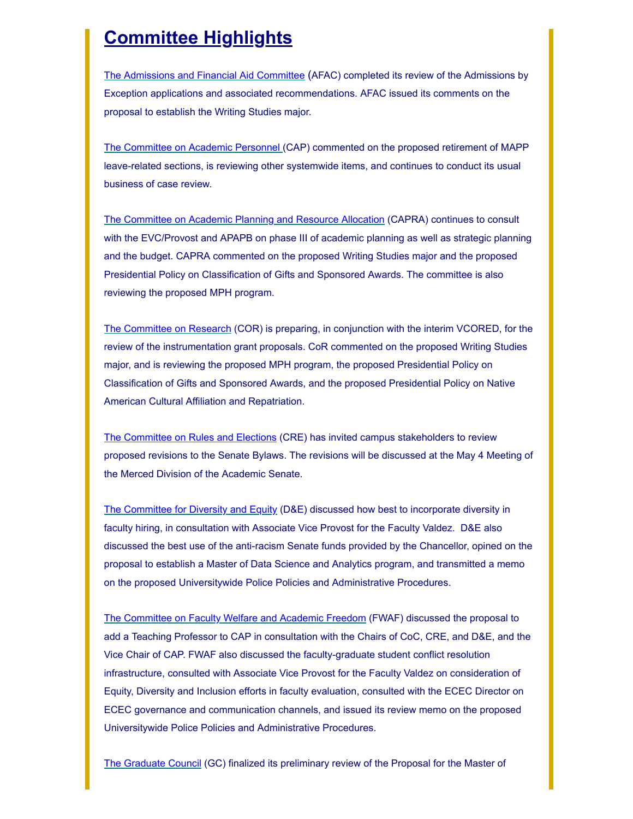# **Committee Highlights**

[The](https://ucmerced.us18.list-manage.com/track/click?u=7a4be5fc797127c29f7d3935b&id=46158e19af&e=c9b970b0f8) [Admissions and Financial Aid](https://ucmerced.us18.list-manage.com/track/click?u=7a4be5fc797127c29f7d3935b&id=5959f85ccf&e=c9b970b0f8) [Committee](https://ucmerced.us18.list-manage.com/track/click?u=7a4be5fc797127c29f7d3935b&id=a73983a109&e=c9b970b0f8) (AFAC) completed its review of the Admissions by Exception applications and associated recommendations. AFAC issued its comments on the proposal to establish the Writing Studies major.

[The Committee on Academic Personnel \(](https://ucmerced.us18.list-manage.com/track/click?u=7a4be5fc797127c29f7d3935b&id=6c5367fdc1&e=c9b970b0f8)CAP) commented on the proposed retirement of MAPP leave-related sections, is reviewing other systemwide items, and continues to conduct its usual business of case review.

[The Committee on Academic Planning and Resource Allocation](https://ucmerced.us18.list-manage.com/track/click?u=7a4be5fc797127c29f7d3935b&id=f3a79df9e2&e=c9b970b0f8) (CAPRA) continues to consult with the EVC/Provost and APAPB on phase III of academic planning as well as strategic planning and the budget. CAPRA commented on the proposed Writing Studies major and the proposed Presidential Policy on Classification of Gifts and Sponsored Awards. The committee is also reviewing the proposed MPH program.

[The Committee on Research](https://ucmerced.us18.list-manage.com/track/click?u=7a4be5fc797127c29f7d3935b&id=a13324db75&e=c9b970b0f8) (COR) is preparing, in conjunction with the interim VCORED, for the review of the instrumentation grant proposals. CoR commented on the proposed Writing Studies major, and is reviewing the proposed MPH program, the proposed Presidential Policy on Classification of Gifts and Sponsored Awards, and the proposed Presidential Policy on Native American Cultural Affiliation and Repatriation.

[The Committee on Rules and Elections](https://ucmerced.us18.list-manage.com/track/click?u=7a4be5fc797127c29f7d3935b&id=07d6919605&e=c9b970b0f8) (CRE) has invited campus stakeholders to review proposed revisions to the Senate Bylaws. The revisions will be discussed at the May 4 Meeting of the Merced Division of the Academic Senate.

[The Committee for Diversity and Equity](https://ucmerced.us18.list-manage.com/track/click?u=7a4be5fc797127c29f7d3935b&id=d326b5b42c&e=c9b970b0f8) (D&E) discussed how best to incorporate diversity in faculty hiring, in consultation with Associate Vice Provost for the Faculty Valdez. D&E also discussed the best use of the anti-racism Senate funds provided by the Chancellor, opined on the proposal to establish a Master of Data Science and Analytics program, and transmitted a memo on the proposed Universitywide Police Policies and Administrative Procedures.

[The Committee on Faculty Welfare and Academic Freedom](https://ucmerced.us18.list-manage.com/track/click?u=7a4be5fc797127c29f7d3935b&id=26cdf7bfbe&e=c9b970b0f8) (FWAF) discussed the proposal to add a Teaching Professor to CAP in consultation with the Chairs of CoC, CRE, and D&E, and the Vice Chair of CAP. FWAF also discussed the faculty-graduate student conflict resolution infrastructure, consulted with Associate Vice Provost for the Faculty Valdez on consideration of Equity, Diversity and Inclusion efforts in faculty evaluation, consulted with the ECEC Director on ECEC governance and communication channels, and issued its review memo on the proposed Universitywide Police Policies and Administrative Procedures.

[The Graduate Council](https://ucmerced.us18.list-manage.com/track/click?u=7a4be5fc797127c29f7d3935b&id=9aef8d0f9e&e=c9b970b0f8) (GC) finalized its preliminary review of the Proposal for the Master of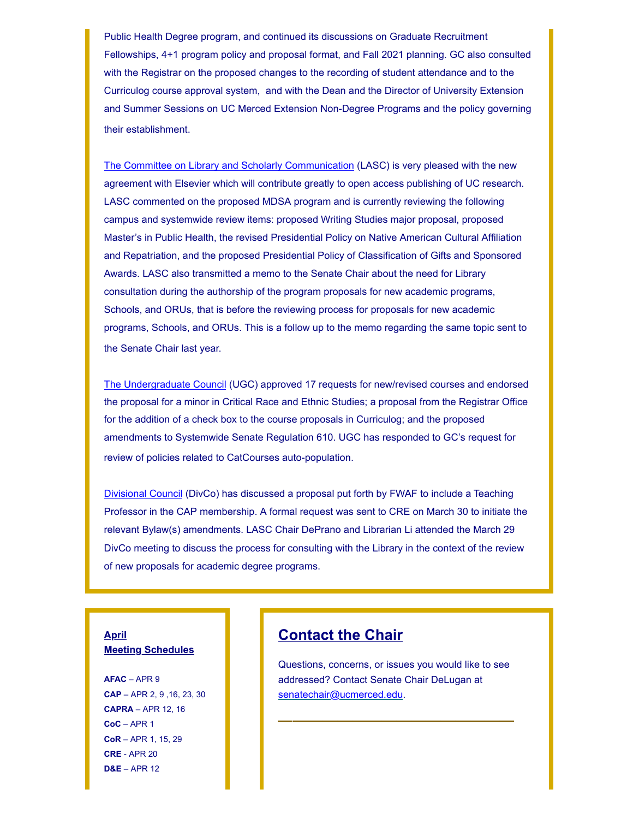Public Health Degree program, and continued its discussions on Graduate Recruitment Fellowships, 4+1 program policy and proposal format, and Fall 2021 planning. GC also consulted with the Registrar on the proposed changes to the recording of student attendance and to the Curriculog course approval system, and with the Dean and the Director of University Extension and Summer Sessions on UC Merced Extension Non-Degree Programs and the policy governing their establishment.

[The Committee on Library and Scholarly Communication](https://ucmerced.us18.list-manage.com/track/click?u=7a4be5fc797127c29f7d3935b&id=fbe4575720&e=c9b970b0f8) (LASC) is very pleased with the new agreement with Elsevier which will contribute greatly to open access publishing of UC research. LASC commented on the proposed MDSA program and is currently reviewing the following campus and systemwide review items: proposed Writing Studies major proposal, proposed Master's in Public Health, the revised Presidential Policy on Native American Cultural Affiliation and Repatriation, and the proposed Presidential Policy of Classification of Gifts and Sponsored Awards. LASC also transmitted a memo to the Senate Chair about the need for Library consultation during the authorship of the program proposals for new academic programs, Schools, and ORUs, that is before the reviewing process for proposals for new academic programs, Schools, and ORUs. This is a follow up to the memo regarding the same topic sent to the Senate Chair last year.

[The Undergraduate Council](https://ucmerced.us18.list-manage.com/track/click?u=7a4be5fc797127c29f7d3935b&id=5cb8d164e7&e=c9b970b0f8) (UGC) approved 17 requests for new/revised courses and endorsed the proposal for a minor in Critical Race and Ethnic Studies; a proposal from the Registrar Office for the addition of a check box to the course proposals in Curriculog; and the proposed amendments to Systemwide Senate Regulation 610. UGC has responded to GC's request for review of policies related to CatCourses auto-population.

[Divisional Council](https://ucmerced.us18.list-manage.com/track/click?u=7a4be5fc797127c29f7d3935b&id=1365944657&e=c9b970b0f8) (DivCo) has discussed a proposal put forth by FWAF to include a Teaching Professor in the CAP membership. A formal request was sent to CRE on March 30 to initiate the relevant Bylaw(s) amendments. LASC Chair DePrano and Librarian Li attended the March 29 DivCo meeting to discuss the process for consulting with the Library in the context of the review of new proposals for academic degree programs.

#### **April Meeting Schedules**

**AFAC** – APR 9 **CAP** – APR 2, 9 ,16, 23, 30 **CAPRA** – APR 12, 16 **CoC** – APR 1 **CoR** – APR 1, 15, 29 **CRE** - APR 20 **D&E** – APR 12

# **Contact the Chair**

Questions, concerns, or issues you would like to see addressed? Contact Senate Chair DeLugan at [senatechair@ucmerced.](https://ucmerced.us18.list-manage.com/track/click?u=7a4be5fc797127c29f7d3935b&id=2308e48945&e=c9b970b0f8)[edu.](https://ucmerced.us18.list-manage.com/track/click?u=7a4be5fc797127c29f7d3935b&id=dda1f11945&e=c9b970b0f8) **\_\_\_\_\_\_\_\_\_\_\_\_\_\_\_\_**